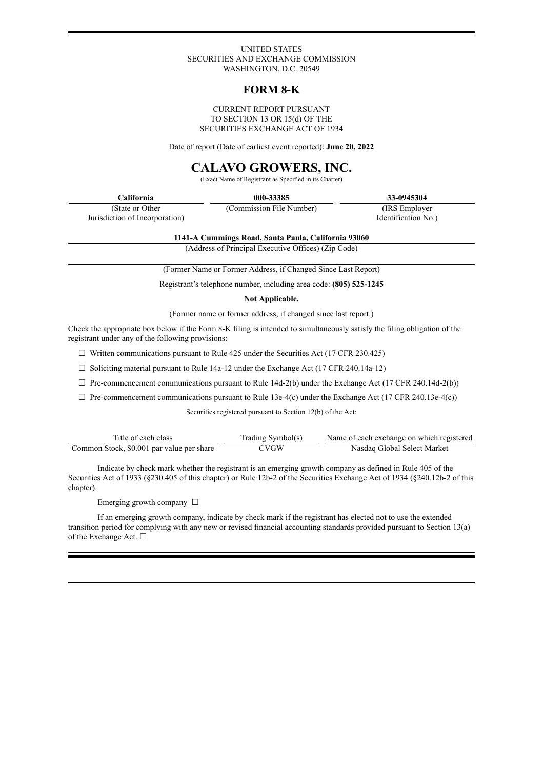#### UNITED STATES SECURITIES AND EXCHANGE COMMISSION WASHINGTON, D.C. 20549

# **FORM 8-K**

#### CURRENT REPORT PURSUANT TO SECTION 13 OR 15(d) OF THE SECURITIES EXCHANGE ACT OF 1934

Date of report (Date of earliest event reported): **June 20, 2022**

# **CALAVO GROWERS, INC.**

(Exact Name of Registrant as Specified in its Charter)

| California                     | 000-33385                | 33-0945304          |
|--------------------------------|--------------------------|---------------------|
| (State or Other)               | (Commission File Number) | (IRS Employer)      |
| Jurisdiction of Incorporation) |                          | Identification No.) |

**1141-A Cummings Road, Santa Paula, California 93060**

(Address of Principal Executive Offices) (Zip Code)

(Former Name or Former Address, if Changed Since Last Report)

Registrant's telephone number, including area code: **(805) 525-1245**

**Not Applicable.**

(Former name or former address, if changed since last report.)

Check the appropriate box below if the Form 8-K filing is intended to simultaneously satisfy the filing obligation of the registrant under any of the following provisions:

 $\Box$  Written communications pursuant to Rule 425 under the Securities Act (17 CFR 230.425)

 $\Box$  Soliciting material pursuant to Rule 14a-12 under the Exchange Act (17 CFR 240.14a-12)

 $\Box$  Pre-commencement communications pursuant to Rule 14d-2(b) under the Exchange Act (17 CFR 240.14d-2(b))

 $\Box$  Pre-commencement communications pursuant to Rule 13e-4(c) under the Exchange Act (17 CFR 240.13e-4(c))

Securities registered pursuant to Section 12(b) of the Act:

| Title of each class                       | Trading Symbol(s) | Name of each exchange on which registered |
|-------------------------------------------|-------------------|-------------------------------------------|
| Common Stock, \$0.001 par value per share | <b>CVGW</b>       | Nasdaq Global Select Market               |

Indicate by check mark whether the registrant is an emerging growth company as defined in Rule 405 of the Securities Act of 1933 (§230.405 of this chapter) or Rule 12b-2 of the Securities Exchange Act of 1934 (§240.12b-2 of this chapter).

Emerging growth company □

If an emerging growth company, indicate by check mark if the registrant has elected not to use the extended transition period for complying with any new or revised financial accounting standards provided pursuant to Section 13(a) of the Exchange Act. □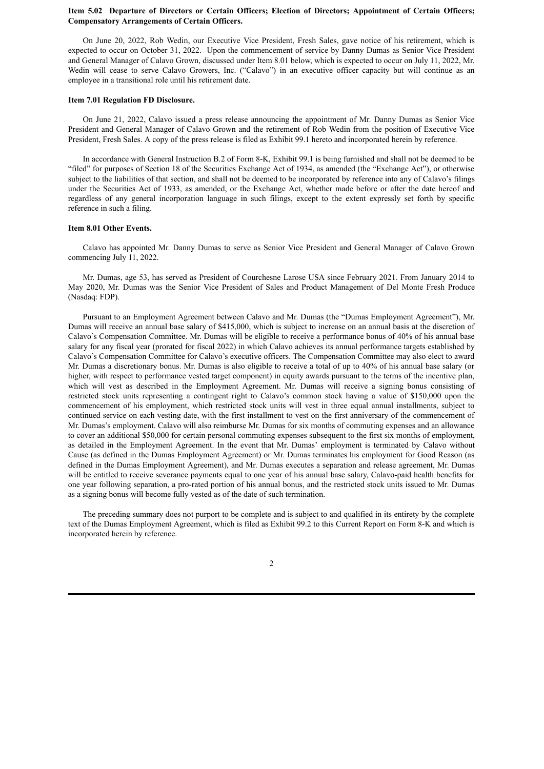#### **Item 5.02 Departure of Directors or Certain Officers; Election of Directors; Appointment of Certain Officers; Compensatory Arrangements of Certain Officers.**

On June 20, 2022, Rob Wedin, our Executive Vice President, Fresh Sales, gave notice of his retirement, which is expected to occur on October 31, 2022. Upon the commencement of service by Danny Dumas as Senior Vice President and General Manager of Calavo Grown, discussed under Item 8.01 below, which is expected to occur on July 11, 2022, Mr. Wedin will cease to serve Calavo Growers, Inc. ("Calavo") in an executive officer capacity but will continue as an employee in a transitional role until his retirement date.

#### **Item 7.01 Regulation FD Disclosure.**

On June 21, 2022, Calavo issued a press release announcing the appointment of Mr. Danny Dumas as Senior Vice President and General Manager of Calavo Grown and the retirement of Rob Wedin from the position of Executive Vice President, Fresh Sales. A copy of the press release is filed as Exhibit 99.1 hereto and incorporated herein by reference.

In accordance with General Instruction B.2 of Form 8-K, Exhibit 99.1 is being furnished and shall not be deemed to be "filed" for purposes of Section 18 of the Securities Exchange Act of 1934, as amended (the "Exchange Act"), or otherwise subject to the liabilities of that section, and shall not be deemed to be incorporated by reference into any of Calavo's filings under the Securities Act of 1933, as amended, or the Exchange Act, whether made before or after the date hereof and regardless of any general incorporation language in such filings, except to the extent expressly set forth by specific reference in such a filing.

#### **Item 8.01 Other Events.**

Calavo has appointed Mr. Danny Dumas to serve as Senior Vice President and General Manager of Calavo Grown commencing July 11, 2022.

Mr. Dumas, age 53, has served as President of Courchesne Larose USA since February 2021. From January 2014 to May 2020, Mr. Dumas was the Senior Vice President of Sales and Product Management of Del Monte Fresh Produce (Nasdaq: FDP).

Pursuant to an Employment Agreement between Calavo and Mr. Dumas (the "Dumas Employment Agreement"), Mr. Dumas will receive an annual base salary of \$415,000, which is subject to increase on an annual basis at the discretion of Calavo's Compensation Committee. Mr. Dumas will be eligible to receive a performance bonus of 40% of his annual base salary for any fiscal year (prorated for fiscal 2022) in which Calavo achieves its annual performance targets established by Calavo's Compensation Committee for Calavo's executive officers. The Compensation Committee may also elect to award Mr. Dumas a discretionary bonus. Mr. Dumas is also eligible to receive a total of up to 40% of his annual base salary (or higher, with respect to performance vested target component) in equity awards pursuant to the terms of the incentive plan, which will vest as described in the Employment Agreement. Mr. Dumas will receive a signing bonus consisting of restricted stock units representing a contingent right to Calavo's common stock having a value of \$150,000 upon the commencement of his employment, which restricted stock units will vest in three equal annual installments, subject to continued service on each vesting date, with the first installment to vest on the first anniversary of the commencement of Mr. Dumas's employment. Calavo will also reimburse Mr. Dumas for six months of commuting expenses and an allowance to cover an additional \$50,000 for certain personal commuting expenses subsequent to the first six months of employment, as detailed in the Employment Agreement. In the event that Mr. Dumas' employment is terminated by Calavo without Cause (as defined in the Dumas Employment Agreement) or Mr. Dumas terminates his employment for Good Reason (as defined in the Dumas Employment Agreement), and Mr. Dumas executes a separation and release agreement, Mr. Dumas will be entitled to receive severance payments equal to one year of his annual base salary, Calavo-paid health benefits for one year following separation, a pro-rated portion of his annual bonus, and the restricted stock units issued to Mr. Dumas as a signing bonus will become fully vested as of the date of such termination.

The preceding summary does not purport to be complete and is subject to and qualified in its entirety by the complete text of the Dumas Employment Agreement, which is filed as Exhibit 99.2 to this Current Report on Form 8-K and which is incorporated herein by reference.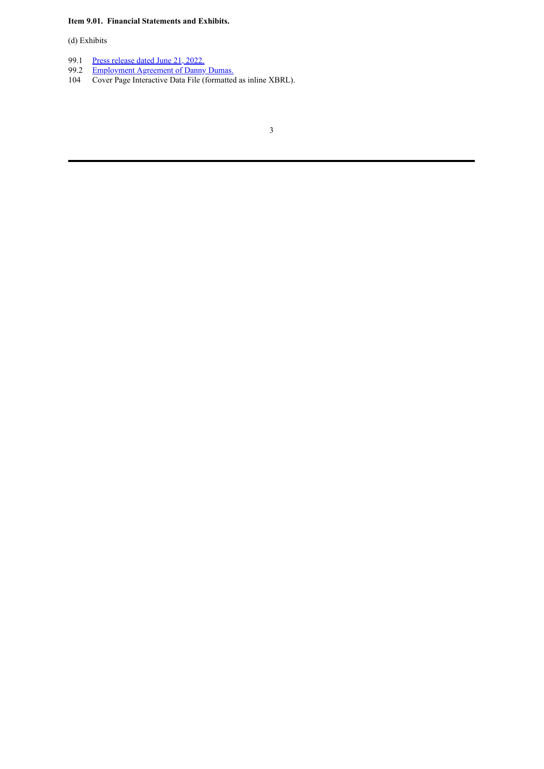**Item 9.01. Financial Statements and Exhibits.**

(d) Exhibits

- 99.1 Press [release](#page-4-0) dated June 21, 2022.
- 99.2 [Employment](#page-7-0) Agreement of Danny Dumas.
- 104 Cover Page Interactive Data File (formatted as inline XBRL).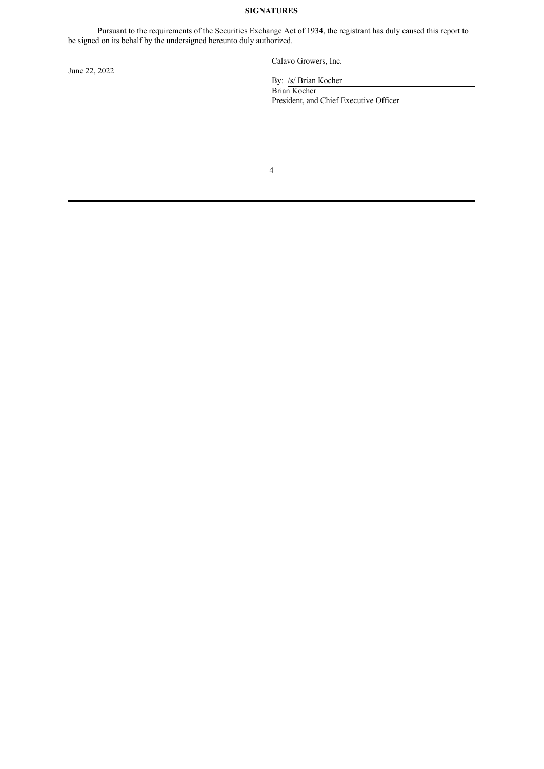### **SIGNATURES**

Pursuant to the requirements of the Securities Exchange Act of 1934, the registrant has duly caused this report to be signed on its behalf by the undersigned hereunto duly authorized.

June 22, 2022

Calavo Growers, Inc.

By: /s/ Brian Kocher Brian Kocher President, and Chief Executive Officer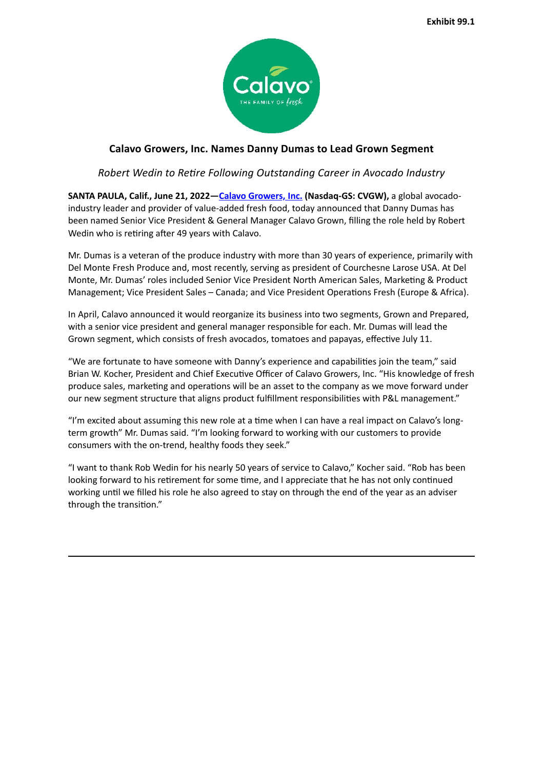

# <span id="page-4-0"></span>**Calavo Growers, Inc. Names Danny Dumas to Lead Grown Segment**

# *Robert Wedin to Retire Following Outstanding Career in Avocado Industry*

**SANTA PAULA, Calif., June 21, 2022—Calavo Growers, Inc. (Nasdaq-GS: CVGW),** a global avocadoindustry leader and provider of value-added fresh food, today announced that Danny Dumas has been named Senior Vice President & General Manager Calavo Grown, filling the role held by Robert Wedin who is retiring after 49 years with Calavo.

Mr. Dumas is a veteran of the produce industry with more than 30 years of experience, primarily with Del Monte Fresh Produce and, most recently, serving as president of Courchesne Larose USA. At Del Monte, Mr. Dumas' roles included Senior Vice President North American Sales, Marketing & Product Management; Vice President Sales – Canada; and Vice President Operations Fresh (Europe & Africa).

In April, Calavo announced it would reorganize its business into two segments, Grown and Prepared, with a senior vice president and general manager responsible for each. Mr. Dumas will lead the Grown segment, which consists of fresh avocados, tomatoes and papayas, effective July 11.

"We are fortunate to have someone with Danny's experience and capabilities join the team," said Brian W. Kocher, President and Chief Executive Officer of Calavo Growers, Inc. "His knowledge of fresh produce sales, marketing and operations will be an asset to the company as we move forward under our new segment structure that aligns product fulfillment responsibilities with P&L management."

"I'm excited about assuming this new role at a time when I can have a real impact on Calavo's longterm growth" Mr. Dumas said. "I'm looking forward to working with our customers to provide consumers with the on-trend, healthy foods they seek."

"I want to thank Rob Wedin for his nearly 50 years of service to Calavo," Kocher said. "Rob has been looking forward to his retirement for some time, and I appreciate that he has not only continued working until we filled his role he also agreed to stay on through the end of the year as an adviser through the transition."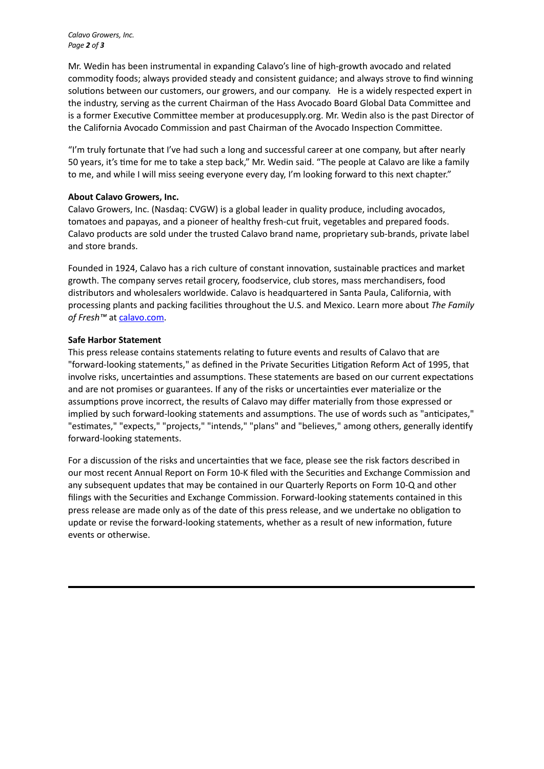*Calavo Growers, Inc. Page 2 of 3*

Mr. Wedin has been instrumental in expanding Calavo's line of high-growth avocado and related commodity foods; always provided steady and consistent guidance; and always strove to find winning solutions between our customers, our growers, and our company. He is a widely respected expert in the industry, serving as the current Chairman of the Hass Avocado Board Global Data Committee and is a former Executive Committee member at producesupply.org. Mr. Wedin also is the past Director of the California Avocado Commission and past Chairman of the Avocado Inspection Committee.

"I'm truly fortunate that I've had such a long and successful career at one company, but after nearly 50 years, it's time for me to take a step back," Mr. Wedin said. "The people at Calavo are like a family to me, and while I will miss seeing everyone every day, I'm looking forward to this next chapter."

## **About Calavo Growers, Inc.**

Calavo Growers, Inc. (Nasdaq: CVGW) is a global leader in quality produce, including avocados, tomatoes and papayas, and a pioneer of healthy fresh-cut fruit, vegetables and prepared foods. Calavo products are sold under the trusted Calavo brand name, proprietary sub-brands, private label and store brands.

Founded in 1924, Calavo has a rich culture of constant innovation, sustainable practices and market growth. The company serves retail grocery, foodservice, club stores, mass merchandisers, food distributors and wholesalers worldwide. Calavo is headquartered in Santa Paula, California, with processing plants and packing facilities throughout the U.S. and Mexico. Learn more about *The Family* of Fresh<sup>™</sup> at calavo.com.

# **Safe Harbor Statement**

This press release contains statements relating to future events and results of Calavo that are "forward-looking statements," as defined in the Private Securities Litigation Reform Act of 1995, that involve risks, uncertainties and assumptions. These statements are based on our current expectations and are not promises or guarantees. If any of the risks or uncertainties ever materialize or the assumptions prove incorrect, the results of Calavo may differ materially from those expressed or implied by such forward-looking statements and assumptions. The use of words such as "anticipates," "estimates," "expects," "projects," "intends," "plans" and "believes," among others, generally identify forward-looking statements.

For a discussion of the risks and uncertainties that we face, please see the risk factors described in our most recent Annual Report on Form 10-K filed with the Securities and Exchange Commission and any subsequent updates that may be contained in our Quarterly Reports on Form 10-Q and other filings with the Securities and Exchange Commission. Forward-looking statements contained in this press release are made only as of the date of this press release, and we undertake no obligation to update or revise the forward-looking statements, whether as a result of new information, future events or otherwise.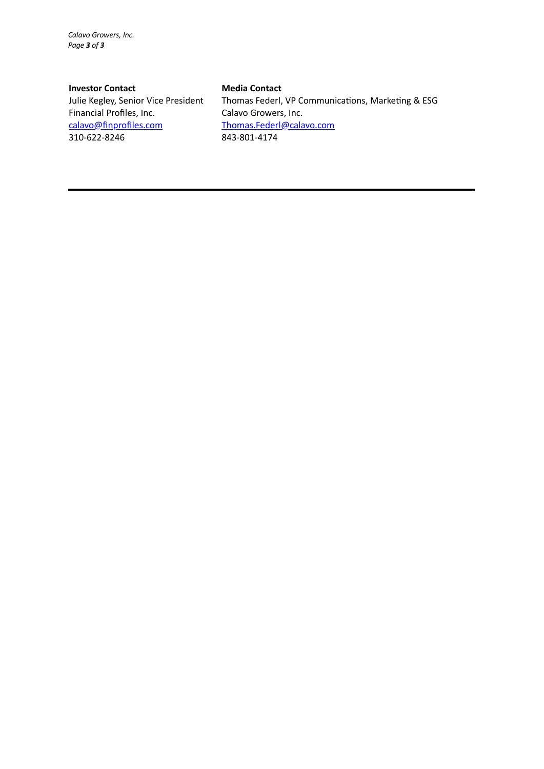*Calavo Growers, Inc. Page 3 of 3*

## **Investor Contact Media Contact**

Financial Profiles, Inc. Calavo Growers, Inc. calavo@finprofiles.com Thomas.Federl@calavo.com 310-622-8246 843-801-4174

Julie Kegley, Senior Vice President Thomas Federl, VP Communications, Marketing & ESG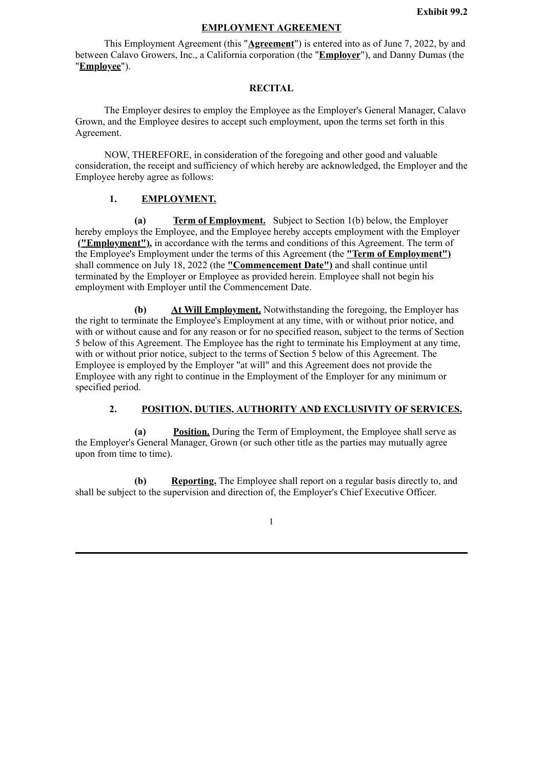# **EMPLOYMENT AGREEMENT**

<span id="page-7-0"></span>This Employment Agreement (this "**Agreement**") is entered into as of June 7, 2022, by and between Calavo Growers, Inc., a California corporation (the "**Employer**"), and Danny Dumas (the "**Employee**").

### **RECITAL**

The Employer desires to employ the Employee as the Employer's General Manager, Calavo Grown, and the Employee desires to accept such employment, upon the terms set forth in this Agreement.

NOW, THEREFORE, in consideration of the foregoing and other good and valuable consideration, the receipt and sufficiency of which hereby are acknowledged, the Employer and the Employee hereby agree as follows:

## **1. EMPLOYMENT.**

**(a) Term of Employment.** Subject to Section 1(b) below, the Employer hereby employs the Employee, and the Employee hereby accepts employment with the Employer **("Employment"),** in accordance with the terms and conditions of this Agreement. The term of the Employee's Employment under the terms of this Agreement (the **"Term of Employment")** shall commence on July 18, 2022 (the **"Commencement Date")** and shall continue until terminated by the Employer or Employee as provided herein. Employee shall not begin his employment with Employer until the Commencement Date.

**(b) At Will Employment.** Notwithstanding the foregoing, the Employer has the right to terminate the Employee's Employment at any time, with or without prior notice, and with or without cause and for any reason or for no specified reason, subject to the terms of Section 5 below of this Agreement. The Employee has the right to terminate his Employment at any time, with or without prior notice, subject to the terms of Section 5 below of this Agreement. The Employee is employed by the Employer "at will" and this Agreement does not provide the Employee with any right to continue in the Employment of the Employer for any minimum or specified period.

## **2. POSITION, DUTIES, AUTHORITY AND EXCLUSIVITY OF SERVICES.**

**(a) Position.** During the Term of Employment, the Employee shall serve as the Employer's General Manager, Grown (or such other title as the parties may mutually agree upon from time to time).

**(b) Reporting.** The Employee shall report on a regular basis directly to, and shall be subject to the supervision and direction of, the Employer's Chief Executive Officer.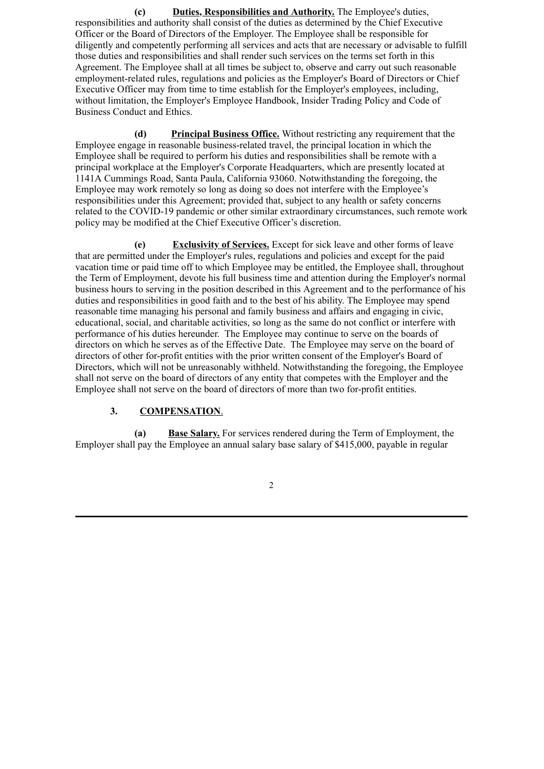**(c) Duties, Responsibilities and Authority.** The Employee's duties, responsibilities and authority shall consist of the duties as determined by the Chief Executive Officer or the Board of Directors of the Employer. The Employee shall be responsible for diligently and competently performing all services and acts that are necessary or advisable to fulfill those duties and responsibilities and shall render such services on the terms set forth in this Agreement. The Employee shall at all times be subject to, observe and carry out such reasonable employment-related rules, regulations and policies as the Employer's Board of Directors or Chief Executive Officer may from time to time establish for the Employer's employees, including, without limitation, the Employer's Employee Handbook, Insider Trading Policy and Code of Business Conduct and Ethics.

**(d) Principal Business Office.** Without restricting any requirement that the Employee engage in reasonable business-related travel, the principal location in which the Employee shall be required to perform his duties and responsibilities shall be remote with a principal workplace at the Employer's Corporate Headquarters, which are presently located at 1141A Cummings Road, Santa Paula, California 93060. Notwithstanding the foregoing, the Employee may work remotely so long as doing so does not interfere with the Employee's responsibilities under this Agreement; provided that, subject to any health or safety concerns related to the COVID-19 pandemic or other similar extraordinary circumstances, such remote work policy may be modified at the Chief Executive Officer's discretion.

**(e) Exclusivity of Services.** Except for sick leave and other forms of leave that are permitted under the Employer's rules, regulations and policies and except for the paid vacation time or paid time off to which Employee may be entitled, the Employee shall, throughout the Term of Employment, devote his full business time and attention during the Employer's normal business hours to serving in the position described in this Agreement and to the performance of his duties and responsibilities in good faith and to the best of his ability. The Employee may spend reasonable time managing his personal and family business and affairs and engaging in civic, educational, social, and charitable activities, so long as the same do not conflict or interfere with performance of his duties hereunder. The Employee may continue to serve on the boards of directors on which he serves as of the Effective Date. The Employee may serve on the board of directors of other for-profit entities with the prior written consent of the Employer's Board of Directors, which will not be unreasonably withheld. Notwithstanding the foregoing, the Employee shall not serve on the board of directors of any entity that competes with the Employer and the Employee shall not serve on the board of directors of more than two for-profit entities.

## **3. COMPENSATION**.

**(a) Base Salary.** For services rendered during the Term of Employment, the Employer shall pay the Employee an annual salary base salary of \$415,000, payable in regular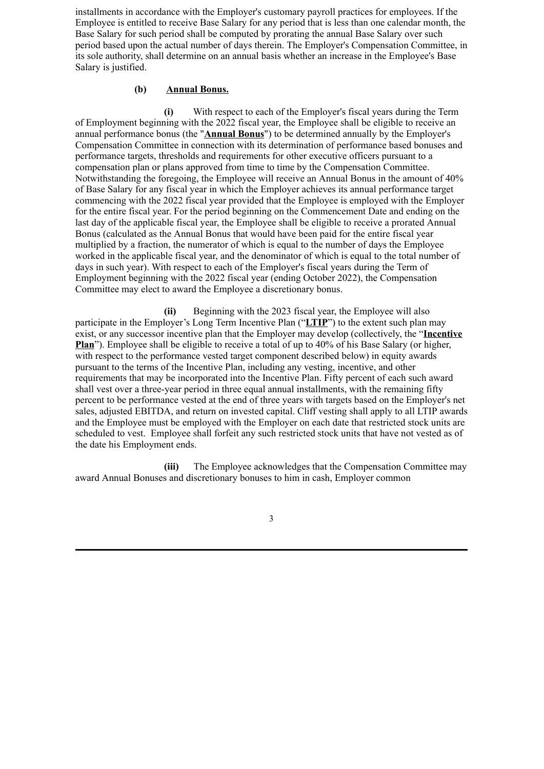installments in accordance with the Employer's customary payroll practices for employees. If the Employee is entitled to receive Base Salary for any period that is less than one calendar month, the Base Salary for such period shall be computed by prorating the annual Base Salary over such period based upon the actual number of days therein. The Employer's Compensation Committee, in its sole authority, shall determine on an annual basis whether an increase in the Employee's Base Salary is justified.

#### **(b) Annual Bonus.**

**(i)** With respect to each of the Employer's fiscal years during the Term of Employment beginning with the 2022 fiscal year, the Employee shall be eligible to receive an annual performance bonus (the "**Annual Bonus**") to be determined annually by the Employer's Compensation Committee in connection with its determination of performance based bonuses and performance targets, thresholds and requirements for other executive officers pursuant to a compensation plan or plans approved from time to time by the Compensation Committee. Notwithstanding the foregoing, the Employee will receive an Annual Bonus in the amount of 40% of Base Salary for any fiscal year in which the Employer achieves its annual performance target commencing with the 2022 fiscal year provided that the Employee is employed with the Employer for the entire fiscal year. For the period beginning on the Commencement Date and ending on the last day of the applicable fiscal year, the Employee shall be eligible to receive a prorated Annual Bonus (calculated as the Annual Bonus that would have been paid for the entire fiscal year multiplied by a fraction, the numerator of which is equal to the number of days the Employee worked in the applicable fiscal year, and the denominator of which is equal to the total number of days in such year). With respect to each of the Employer's fiscal years during the Term of Employment beginning with the 2022 fiscal year (ending October 2022), the Compensation Committee may elect to award the Employee a discretionary bonus.

**(ii)** Beginning with the 2023 fiscal year, the Employee will also participate in the Employer's Long Term Incentive Plan ("**LTIP**") to the extent such plan may exist, or any successor incentive plan that the Employer may develop (collectively, the "**Incentive Plan**"). Employee shall be eligible to receive a total of up to 40% of his Base Salary (or higher, with respect to the performance vested target component described below) in equity awards pursuant to the terms of the Incentive Plan, including any vesting, incentive, and other requirements that may be incorporated into the Incentive Plan. Fifty percent of each such award shall vest over a three-year period in three equal annual installments, with the remaining fifty percent to be performance vested at the end of three years with targets based on the Employer's net sales, adjusted EBITDA, and return on invested capital. Cliff vesting shall apply to all LTIP awards and the Employee must be employed with the Employer on each date that restricted stock units are scheduled to vest. Employee shall forfeit any such restricted stock units that have not vested as of the date his Employment ends.

**(iii)** The Employee acknowledges that the Compensation Committee may award Annual Bonuses and discretionary bonuses to him in cash, Employer common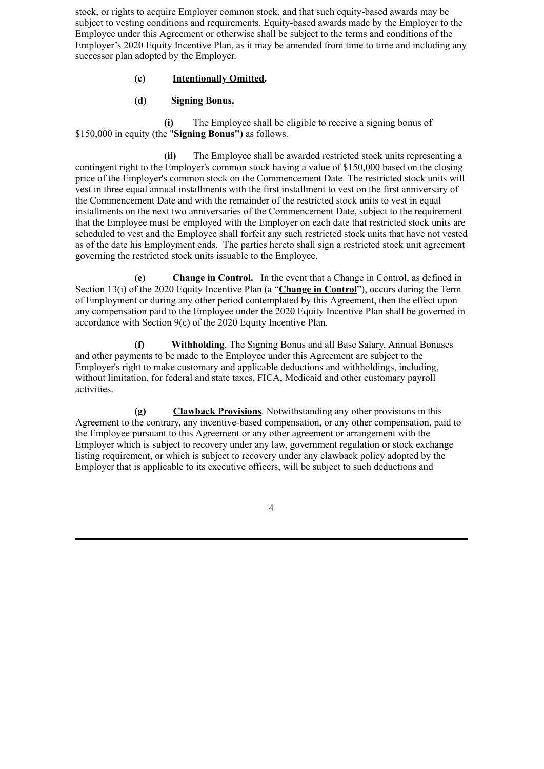stock, or rights to acquire Employer common stock, and that such equity-based awards may be subject to vesting conditions and requirements. Equity-based awards made by the Employer to the Employee under this Agreement or otherwise shall be subject to the terms and conditions of the Employer's 2020 Equity Incentive Plan, as it may be amended from time to time and including any successor plan adopted by the Employer.

# **(c) Intentionally Omitted.**

# **(d) Signing Bonus.**

**(i)** The Employee shall be eligible to receive a signing bonus of \$150,000 in equity (the "**Signing Bonus")** as follows.

**(ii)** The Employee shall be awarded restricted stock units representing a contingent right to the Employer's common stock having a value of \$150,000 based on the closing price of the Employer's common stock on the Commencement Date. The restricted stock units will vest in three equal annual installments with the first installment to vest on the first anniversary of the Commencement Date and with the remainder of the restricted stock units to vest in equal installments on the next two anniversaries of the Commencement Date, subject to the requirement that the Employee must be employed with the Employer on each date that restricted stock units are scheduled to vest and the Employee shall forfeit any such restricted stock units that have not vested as of the date his Employment ends. The parties hereto shall sign a restricted stock unit agreement governing the restricted stock units issuable to the Employee.

**(e) Change in Control.** In the event that a Change in Control, as defined in Section 13(i) of the 2020 Equity Incentive Plan (a "**Change in Control**"), occurs during the Term of Employment or during any other period contemplated by this Agreement, then the effect upon any compensation paid to the Employee under the 2020 Equity Incentive Plan shall be governed in accordance with Section 9(c) of the 2020 Equity Incentive Plan.

**(f) Withholding**. The Signing Bonus and all Base Salary, Annual Bonuses and other payments to be made to the Employee under this Agreement are subject to the Employer's right to make customary and applicable deductions and withholdings, including, without limitation, for federal and state taxes, FICA, Medicaid and other customary payroll activities.

**(g) Clawback Provisions**. Notwithstanding any other provisions in this Agreement to the contrary, any incentive-based compensation, or any other compensation, paid to the Employee pursuant to this Agreement or any other agreement or arrangement with the Employer which is subject to recovery under any law, government regulation or stock exchange listing requirement, or which is subject to recovery under any clawback policy adopted by the Employer that is applicable to its executive officers, will be subject to such deductions and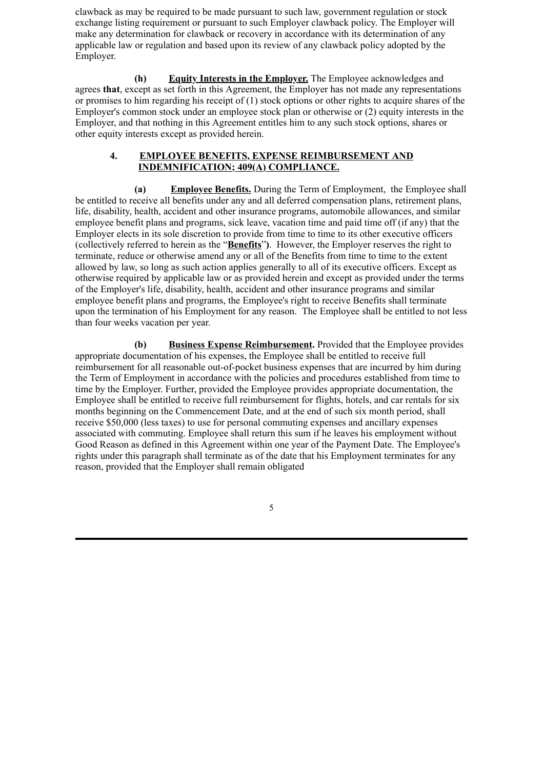clawback as may be required to be made pursuant to such law, government regulation or stock exchange listing requirement or pursuant to such Employer clawback policy. The Employer will make any determination for clawback or recovery in accordance with its determination of any applicable law or regulation and based upon its review of any clawback policy adopted by the Employer.

**(h) Equity Interests in the Employer.** The Employee acknowledges and agrees **that**, except as set forth in this Agreement, the Employer has not made any representations or promises to him regarding his receipt of (1) stock options or other rights to acquire shares of the Employer's common stock under an employee stock plan or otherwise or (2) equity interests in the Employer, and that nothing in this Agreement entitles him to any such stock options, shares or other equity interests except as provided herein.

### **4. EMPLOYEE BENEFITS, EXPENSE REIMBURSEMENT AND INDEMNIFICATION; 409(A) COMPLIANCE.**

**(a) Employee Benefits.** During the Term of Employment, the Employee shall be entitled to receive all benefits under any and all deferred compensation plans, retirement plans, life, disability, health, accident and other insurance programs, automobile allowances, and similar employee benefit plans and programs, sick leave, vacation time and paid time off (if any) that the Employer elects in its sole discretion to provide from time to time to its other executive officers (collectively referred to herein as the "**Benefits**"**)**. However, the Employer reserves the right to terminate, reduce or otherwise amend any or all of the Benefits from time to time to the extent allowed by law, so long as such action applies generally to all of its executive officers. Except as otherwise required by applicable law or as provided herein and except as provided under the terms of the Employer's life, disability, health, accident and other insurance programs and similar employee benefit plans and programs, the Employee's right to receive Benefits shall terminate upon the termination of his Employment for any reason. The Employee shall be entitled to not less than four weeks vacation per year.

**(b) Business Expense Reimbursement.** Provided that the Employee provides appropriate documentation of his expenses, the Employee shall be entitled to receive full reimbursement for all reasonable out-of-pocket business expenses that are incurred by him during the Term of Employment in accordance with the policies and procedures established from time to time by the Employer. Further, provided the Employee provides appropriate documentation, the Employee shall be entitled to receive full reimbursement for flights, hotels, and car rentals for six months beginning on the Commencement Date, and at the end of such six month period, shall receive \$50,000 (less taxes) to use for personal commuting expenses and ancillary expenses associated with commuting. Employee shall return this sum if he leaves his employment without Good Reason as defined in this Agreement within one year of the Payment Date. The Employee's rights under this paragraph shall terminate as of the date that his Employment terminates for any reason, provided that the Employer shall remain obligated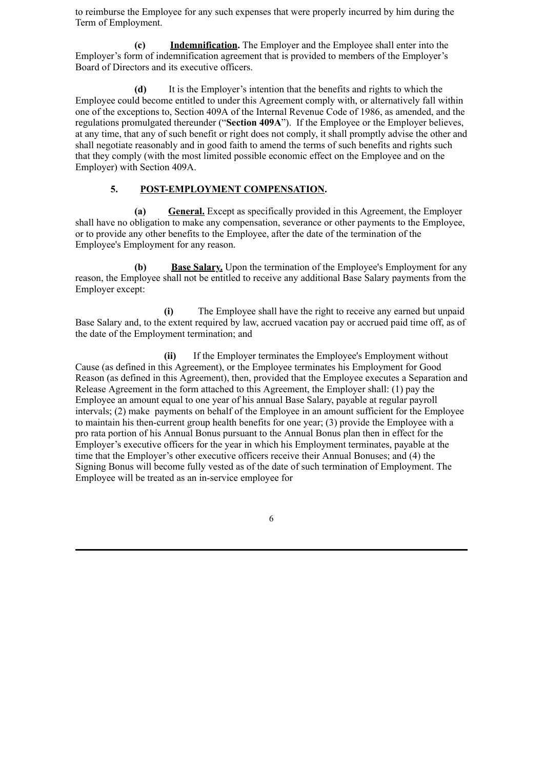to reimburse the Employee for any such expenses that were properly incurred by him during the Term of Employment.

**(c) Indemnification.** The Employer and the Employee shall enter into the Employer's form of indemnification agreement that is provided to members of the Employer's Board of Directors and its executive officers.

**(d)** It is the Employer's intention that the benefits and rights to which the Employee could become entitled to under this Agreement comply with, or alternatively fall within one of the exceptions to, Section 409A of the Internal Revenue Code of 1986, as amended, and the regulations promulgated thereunder ("**Section 409A**"). If the Employee or the Employer believes, at any time, that any of such benefit or right does not comply, it shall promptly advise the other and shall negotiate reasonably and in good faith to amend the terms of such benefits and rights such that they comply (with the most limited possible economic effect on the Employee and on the Employer) with Section 409A.

## **5. POST-EMPLOYMENT COMPENSATION.**

**(a) General.** Except as specifically provided in this Agreement, the Employer shall have no obligation to make any compensation, severance or other payments to the Employee, or to provide any other benefits to the Employee, after the date of the termination of the Employee's Employment for any reason.

**(b) Base Salary.** Upon the termination of the Employee's Employment for any reason, the Employee shall not be entitled to receive any additional Base Salary payments from the Employer except:

**(i)** The Employee shall have the right to receive any earned but unpaid Base Salary and, to the extent required by law, accrued vacation pay or accrued paid time off, as of the date of the Employment termination; and

**(ii)** If the Employer terminates the Employee's Employment without Cause (as defined in this Agreement), or the Employee terminates his Employment for Good Reason (as defined in this Agreement), then, provided that the Employee executes a Separation and Release Agreement in the form attached to this Agreement, the Employer shall: (1) pay the Employee an amount equal to one year of his annual Base Salary, payable at regular payroll intervals; (2) make payments on behalf of the Employee in an amount sufficient for the Employee to maintain his then-current group health benefits for one year; (3) provide the Employee with a pro rata portion of his Annual Bonus pursuant to the Annual Bonus plan then in effect for the Employer's executive officers for the year in which his Employment terminates, payable at the time that the Employer's other executive officers receive their Annual Bonuses; and (4) the Signing Bonus will become fully vested as of the date of such termination of Employment. The Employee will be treated as an in-service employee for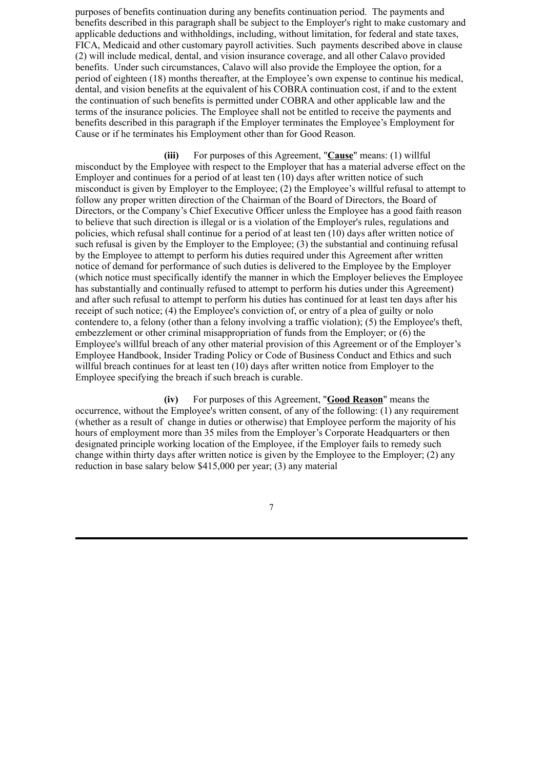purposes of benefits continuation during any benefits continuation period. The payments and benefits described in this paragraph shall be subject to the Employer's right to make customary and applicable deductions and withholdings, including, without limitation, for federal and state taxes, FICA, Medicaid and other customary payroll activities. Such payments described above in clause (2) will include medical, dental, and vision insurance coverage, and all other Calavo provided benefits. Under such circumstances, Calavo will also provide the Employee the option, for a period of eighteen (18) months thereafter, at the Employee's own expense to continue his medical, dental, and vision benefits at the equivalent of his COBRA continuation cost, if and to the extent the continuation of such benefits is permitted under COBRA and other applicable law and the terms of the insurance policies. The Employee shall not be entitled to receive the payments and benefits described in this paragraph if the Employer terminates the Employee's Employment for Cause or if he terminates his Employment other than for Good Reason.

**(iii)** For purposes of this Agreement, "**Cause**" means: (1) willful misconduct by the Employee with respect to the Employer that has a material adverse effect on the Employer and continues for a period of at least ten  $(10)$  days after written notice of such misconduct is given by Employer to the Employee; (2) the Employee's willful refusal to attempt to follow any proper written direction of the Chairman of the Board of Directors, the Board of Directors, or the Company's Chief Executive Officer unless the Employee has a good faith reason to believe that such direction is illegal or is a violation of the Employer's rules, regulations and policies, which refusal shall continue for a period of at least ten (10) days after written notice of such refusal is given by the Employer to the Employee; (3) the substantial and continuing refusal by the Employee to attempt to perform his duties required under this Agreement after written notice of demand for performance of such duties is delivered to the Employee by the Employer (which notice must specifically identify the manner in which the Employer believes the Employee has substantially and continually refused to attempt to perform his duties under this Agreement) and after such refusal to attempt to perform his duties has continued for at least ten days after his receipt of such notice; (4) the Employee's conviction of, or entry of a plea of guilty or nolo contendere to, a felony (other than a felony involving a traffic violation); (5) the Employee's theft, embezzlement or other criminal misappropriation of funds from the Employer; or (6) the Employee's willful breach of any other material provision of this Agreement or of the Employer's Employee Handbook, Insider Trading Policy or Code of Business Conduct and Ethics and such willful breach continues for at least ten (10) days after written notice from Employer to the Employee specifying the breach if such breach is curable.

**(iv)** For purposes of this Agreement, "**Good Reason**" means the occurrence, without the Employee's written consent, of any of the following: (1) any requirement (whether as a result of change in duties or otherwise) that Employee perform the majority of his hours of employment more than 35 miles from the Employer's Corporate Headquarters or then designated principle working location of the Employee, if the Employer fails to remedy such change within thirty days after written notice is given by the Employee to the Employer; (2) any reduction in base salary below \$415,000 per year; (3) any material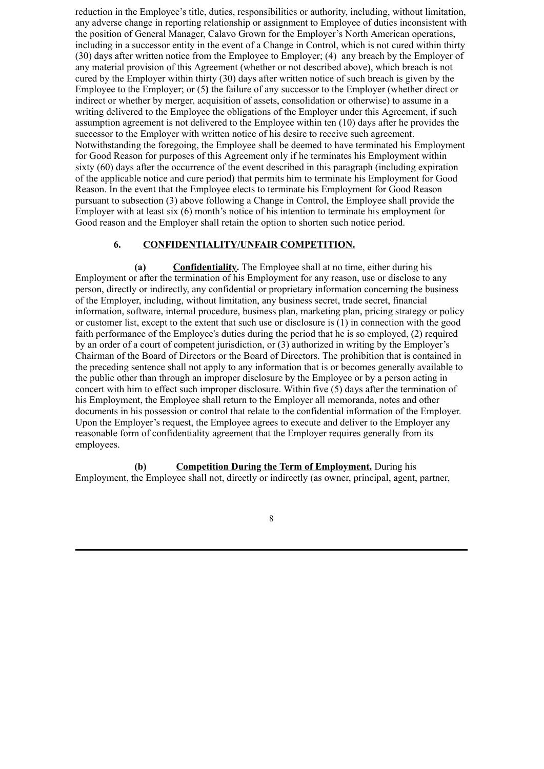reduction in the Employee's title, duties, responsibilities or authority, including, without limitation, any adverse change in reporting relationship or assignment to Employee of duties inconsistent with the position of General Manager, Calavo Grown for the Employer's North American operations, including in a successor entity in the event of a Change in Control, which is not cured within thirty (30) days after written notice from the Employee to Employer; (4) any breach by the Employer of any material provision of this Agreement (whether or not described above), which breach is not cured by the Employer within thirty (30) days after written notice of such breach is given by the Employee to the Employer; or (5**)** the failure of any successor to the Employer (whether direct or indirect or whether by merger, acquisition of assets, consolidation or otherwise) to assume in a writing delivered to the Employee the obligations of the Employer under this Agreement, if such assumption agreement is not delivered to the Employee within ten (10) days after he provides the successor to the Employer with written notice of his desire to receive such agreement. Notwithstanding the foregoing, the Employee shall be deemed to have terminated his Employment for Good Reason for purposes of this Agreement only if he terminates his Employment within sixty (60) days after the occurrence of the event described in this paragraph (including expiration of the applicable notice and cure period) that permits him to terminate his Employment for Good Reason. In the event that the Employee elects to terminate his Employment for Good Reason pursuant to subsection (3) above following a Change in Control, the Employee shall provide the Employer with at least six (6) month's notice of his intention to terminate his employment for Good reason and the Employer shall retain the option to shorten such notice period.

# **6. CONFIDENTIALITY/UNFAIR COMPETITION.**

**(a) Confidentiality.** The Employee shall at no time, either during his Employment or after the termination of his Employment for any reason, use or disclose to any person, directly or indirectly, any confidential or proprietary information concerning the business of the Employer, including, without limitation, any business secret, trade secret, financial information, software, internal procedure, business plan, marketing plan, pricing strategy or policy or customer list, except to the extent that such use or disclosure is (1) in connection with the good faith performance of the Employee's duties during the period that he is so employed, (2) required by an order of a court of competent jurisdiction, or (3) authorized in writing by the Employer's Chairman of the Board of Directors or the Board of Directors. The prohibition that is contained in the preceding sentence shall not apply to any information that is or becomes generally available to the public other than through an improper disclosure by the Employee or by a person acting in concert with him to effect such improper disclosure. Within five (5) days after the termination of his Employment, the Employee shall return to the Employer all memoranda, notes and other documents in his possession or control that relate to the confidential information of the Employer. Upon the Employer's request, the Employee agrees to execute and deliver to the Employer any reasonable form of confidentiality agreement that the Employer requires generally from its employees.

**(b) Competition During the Term of Employment.** During his Employment, the Employee shall not, directly or indirectly (as owner, principal, agent, partner,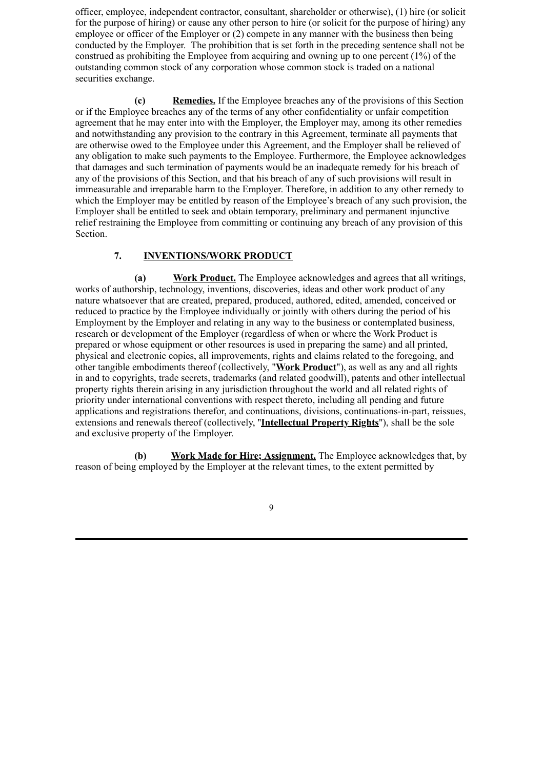officer, employee, independent contractor, consultant, shareholder or otherwise), (1) hire (or solicit for the purpose of hiring) or cause any other person to hire (or solicit for the purpose of hiring) any employee or officer of the Employer or (2) compete in any manner with the business then being conducted by the Employer. The prohibition that is set forth in the preceding sentence shall not be construed as prohibiting the Employee from acquiring and owning up to one percent (1%) of the outstanding common stock of any corporation whose common stock is traded on a national securities exchange.

**(c) Remedies.** If the Employee breaches any of the provisions of this Section or if the Employee breaches any of the terms of any other confidentiality or unfair competition agreement that he may enter into with the Employer, the Employer may, among its other remedies and notwithstanding any provision to the contrary in this Agreement, terminate all payments that are otherwise owed to the Employee under this Agreement, and the Employer shall be relieved of any obligation to make such payments to the Employee. Furthermore, the Employee acknowledges that damages and such termination of payments would be an inadequate remedy for his breach of any of the provisions of this Section, and that his breach of any of such provisions will result in immeasurable and irreparable harm to the Employer. Therefore, in addition to any other remedy to which the Employer may be entitled by reason of the Employee's breach of any such provision, the Employer shall be entitled to seek and obtain temporary, preliminary and permanent injunctive relief restraining the Employee from committing or continuing any breach of any provision of this Section.

# **7. INVENTIONS/WORK PRODUCT**

**(a) Work Product.** The Employee acknowledges and agrees that all writings, works of authorship, technology, inventions, discoveries, ideas and other work product of any nature whatsoever that are created, prepared, produced, authored, edited, amended, conceived or reduced to practice by the Employee individually or jointly with others during the period of his Employment by the Employer and relating in any way to the business or contemplated business, research or development of the Employer (regardless of when or where the Work Product is prepared or whose equipment or other resources is used in preparing the same) and all printed, physical and electronic copies, all improvements, rights and claims related to the foregoing, and other tangible embodiments thereof (collectively, "**Work Product**"), as well as any and all rights in and to copyrights, trade secrets, trademarks (and related goodwill), patents and other intellectual property rights therein arising in any jurisdiction throughout the world and all related rights of priority under international conventions with respect thereto, including all pending and future applications and registrations therefor, and continuations, divisions, continuations-in-part, reissues, extensions and renewals thereof (collectively, ''**Intellectual Property Rights**"), shall be the sole and exclusive property of the Employer.

**(b) Work Made for Hire; Assignment.** The Employee acknowledges that, by reason of being employed by the Employer at the relevant times, to the extent permitted by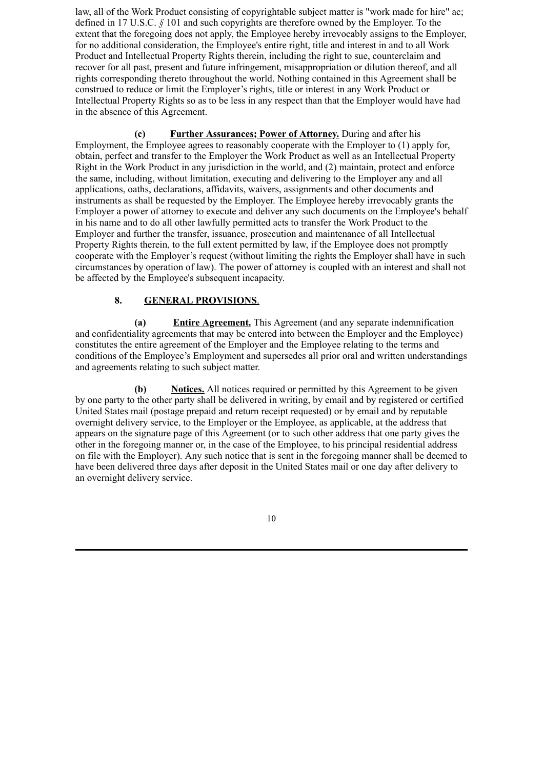law, all of the Work Product consisting of copyrightable subject matter is "work made for hire" ac; defined in 17 U.S.C. *§* 101 and such copyrights are therefore owned by the Employer. To the extent that the foregoing does not apply, the Employee hereby irrevocably assigns to the Employer, for no additional consideration, the Employee's entire right, title and interest in and to all Work Product and Intellectual Property Rights therein, including the right to sue, counterclaim and recover for all past, present and future infringement, misappropriation or dilution thereof, and all rights corresponding thereto throughout the world. Nothing contained in this Agreement shall be construed to reduce or limit the Employer's rights, title or interest in any Work Product or Intellectual Property Rights so as to be less in any respect than that the Employer would have had in the absence of this Agreement.

**(c) Further Assurances; Power of Attorney.** During and after his Employment, the Employee agrees to reasonably cooperate with the Employer to (1) apply for, obtain, perfect and transfer to the Employer the Work Product as well as an Intellectual Property Right in the Work Product in any jurisdiction in the world, and (2) maintain, protect and enforce the same, including, without limitation, executing and delivering to the Employer any and all applications, oaths, declarations, affidavits, waivers, assignments and other documents and instruments as shall be requested by the Employer. The Employee hereby irrevocably grants the Employer a power of attorney to execute and deliver any such documents on the Employee's behalf in his name and to do all other lawfully permitted acts to transfer the Work Product to the Employer and further the transfer, issuance, prosecution and maintenance of all Intellectual Property Rights therein, to the full extent permitted by law, if the Employee does not promptly cooperate with the Employer's request (without limiting the rights the Employer shall have in such circumstances by operation of law). The power of attorney is coupled with an interest and shall not be affected by the Employee's subsequent incapacity.

# **8. GENERAL PROVISIONS**.

**(a) Entire Agreement.** This Agreement (and any separate indemnification and confidentiality agreements that may be entered into between the Employer and the Employee) constitutes the entire agreement of the Employer and the Employee relating to the terms and conditions of the Employee's Employment and supersedes all prior oral and written understandings and agreements relating to such subject matter.

**(b) Notices.** All notices required or permitted by this Agreement to be given by one party to the other party shall be delivered in writing, by email and by registered or certified United States mail (postage prepaid and return receipt requested) or by email and by reputable overnight delivery service, to the Employer or the Employee, as applicable, at the address that appears on the signature page of this Agreement (or to such other address that one party gives the other in the foregoing manner or, in the case of the Employee, to his principal residential address on file with the Employer). Any such notice that is sent in the foregoing manner shall be deemed to have been delivered three days after deposit in the United States mail or one day after delivery to an overnight delivery service.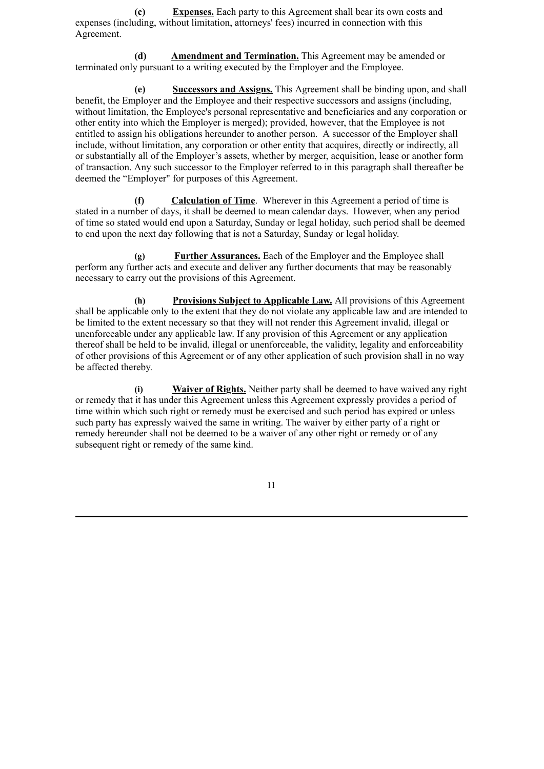**(c) Expenses.** Each party to this Agreement shall bear its own costs and expenses (including, without limitation, attorneys' fees) incurred in connection with this Agreement.

**(d) Amendment and Termination.** This Agreement may be amended or terminated only pursuant to a writing executed by the Employer and the Employee.

**(e) Successors and Assigns.** This Agreement shall be binding upon, and shall benefit, the Employer and the Employee and their respective successors and assigns (including, without limitation, the Employee's personal representative and beneficiaries and any corporation or other entity into which the Employer is merged); provided, however, that the Employee is not entitled to assign his obligations hereunder to another person. A successor of the Employer shall include, without limitation, any corporation or other entity that acquires, directly or indirectly, all or substantially all of the Employer's assets, whether by merger, acquisition, lease or another form of transaction. Any such successor to the Employer referred to in this paragraph shall thereafter be deemed the "Employer" for purposes of this Agreement.

**(f) Calculation of Time**. Wherever in this Agreement a period of time is stated in a number of days, it shall be deemed to mean calendar days. However, when any period of time so stated would end upon a Saturday, Sunday or legal holiday, such period shall be deemed to end upon the next day following that is not a Saturday, Sunday or legal holiday.

**(g) Further Assurances.** Each of the Employer and the Employee shall perform any further acts and execute and deliver any further documents that may be reasonably necessary to carry out the provisions of this Agreement.

**(h) Provisions Subject to Applicable Law.** All provisions of this Agreement shall be applicable only to the extent that they do not violate any applicable law and are intended to be limited to the extent necessary so that they will not render this Agreement invalid, illegal or unenforceable under any applicable law. If any provision of this Agreement or any application thereof shall be held to be invalid, illegal or unenforceable, the validity, legality and enforceability of other provisions of this Agreement or of any other application of such provision shall in no way be affected thereby.

**(i) Waiver of Rights.** Neither party shall be deemed to have waived any right or remedy that it has under this Agreement unless this Agreement expressly provides a period of time within which such right or remedy must be exercised and such period has expired or unless such party has expressly waived the same in writing. The waiver by either party of a right or remedy hereunder shall not be deemed to be a waiver of any other right or remedy or of any subsequent right or remedy of the same kind.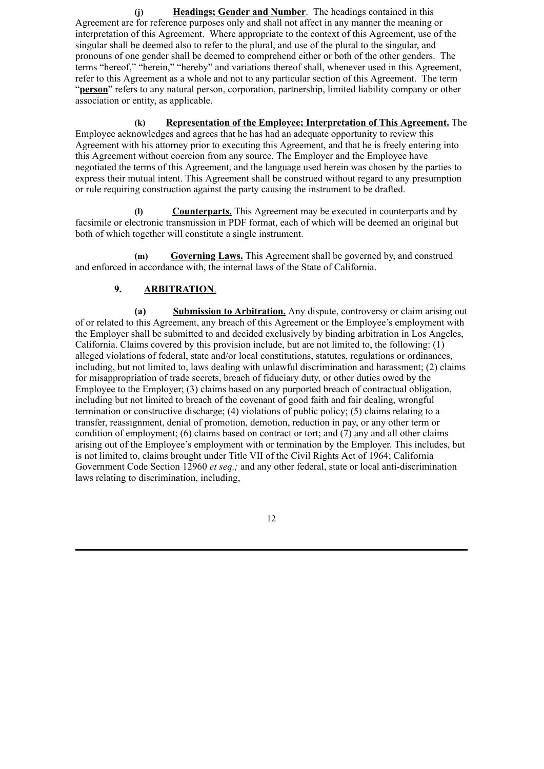**(j) Headings; Gender and Number**. The headings contained in this Agreement are for reference purposes only and shall not affect in any manner the meaning or interpretation of this Agreement. Where appropriate to the context of this Agreement, use of the singular shall be deemed also to refer to the plural, and use of the plural to the singular, and pronouns of one gender shall be deemed to comprehend either or both of the other genders. The terms "hereof," "herein," "hereby" and variations thereof shall, whenever used in this Agreement, refer to this Agreement as a whole and not to any particular section of this Agreement. The term "**person**" refers to any natural person, corporation, partnership, limited liability company or other association or entity, as applicable.

**(k) Representation of the Employee; Interpretation of This Agreement.** The Employee acknowledges and agrees that he has had an adequate opportunity to review this Agreement with his attorney prior to executing this Agreement, and that he is freely entering into this Agreement without coercion from any source. The Employer and the Employee have negotiated the terms of this Agreement, and the language used herein was chosen by the parties to express their mutual intent. This Agreement shall be construed without regard to any presumption or rule requiring construction against the party causing the instrument to be drafted.

**(l) Counterparts.** This Agreement may be executed in counterparts and by facsimile or electronic transmission in PDF format, each of which will be deemed an original but both of which together will constitute a single instrument.

**(m) Governing Laws.** This Agreement shall be governed by, and construed and enforced in accordance with, the internal laws of the State of California.

# **9. ARBITRATION**.

**(a) Submission to Arbitration.** Any dispute, controversy or claim arising out of or related to this Agreement, any breach of this Agreement or the Employee's employment with the Employer shall be submitted to and decided exclusively by binding arbitration in Los Angeles, California. Claims covered by this provision include, but are not limited to, the following:  $(1)$ alleged violations of federal, state and/or local constitutions, statutes, regulations or ordinances, including, but not limited to, laws dealing with unlawful discrimination and harassment; (2) claims for misappropriation of trade secrets, breach of fiduciary duty, or other duties owed by the Employee to the Employer; (3) claims based on any purported breach of contractual obligation, including but not limited to breach of the covenant of good faith and fair dealing, wrongful termination or constructive discharge; (4) violations of public policy; (5) claims relating to a transfer, reassignment, denial of promotion, demotion, reduction in pay, or any other term or condition of employment; (6) claims based on contract or tort; and (7) any and all other claims arising out of the Employee's employment with or termination by the Employer. This includes, but is not limited to, claims brought under Title VII of the Civil Rights Act of 1964; California Government Code Section 12960 *et seq.;* and any other federal, state or local anti-discrimination laws relating to discrimination, including,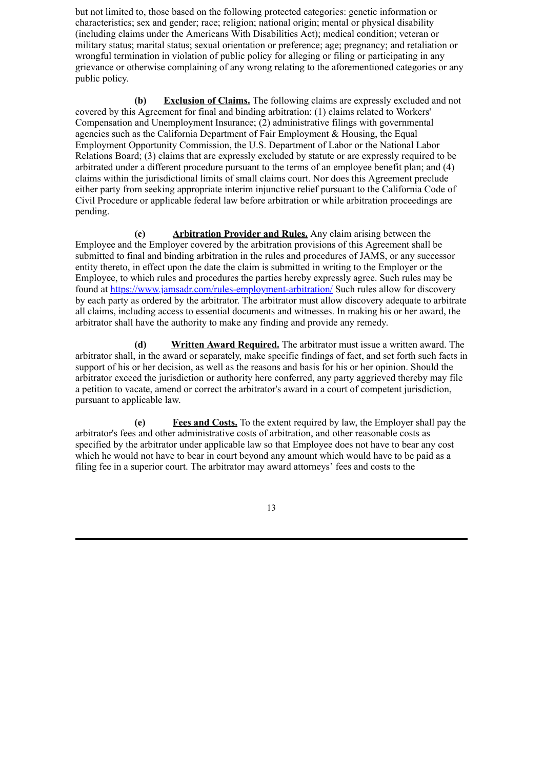but not limited to, those based on the following protected categories: genetic information or characteristics; sex and gender; race; religion; national origin; mental or physical disability (including claims under the Americans With Disabilities Act); medical condition; veteran or military status; marital status; sexual orientation or preference; age; pregnancy; and retaliation or wrongful termination in violation of public policy for alleging or filing or participating in any grievance or otherwise complaining of any wrong relating to the aforementioned categories or any public policy.

**(b) Exclusion of Claims.** The following claims are expressly excluded and not covered by this Agreement for final and binding arbitration: (1) claims related to Workers' Compensation and Unemployment Insurance; (2) administrative filings with governmental agencies such as the California Department of Fair Employment & Housing, the Equal Employment Opportunity Commission, the U.S. Department of Labor or the National Labor Relations Board; (3) claims that are expressly excluded by statute or are expressly required to be arbitrated under a different procedure pursuant to the terms of an employee benefit plan; and (4) claims within the jurisdictional limits of small claims court. Nor does this Agreement preclude either party from seeking appropriate interim injunctive relief pursuant to the California Code of Civil Procedure or applicable federal law before arbitration or while arbitration proceedings are pending.

**(c) Arbitration Provider and Rules.** Any claim arising between the Employee and the Employer covered by the arbitration provisions of this Agreement shall be submitted to final and binding arbitration in the rules and procedures of JAMS, or any successor entity thereto, in effect upon the date the claim is submitted in writing to the Employer or the Employee, to which rules and procedures the parties hereby expressly agree. Such rules may be found at https://www.jamsadr.com/rules-employment-arbitration/ Such rules allow for discovery by each party as ordered by the arbitrator. The arbitrator must allow discovery adequate to arbitrate all claims, including access to essential documents and witnesses. In making his or her award, the arbitrator shall have the authority to make any finding and provide any remedy.

**(d) Written Award Required.** The arbitrator must issue a written award. The arbitrator shall, in the award or separately, make specific findings of fact, and set forth such facts in support of his or her decision, as well as the reasons and basis for his or her opinion. Should the arbitrator exceed the jurisdiction or authority here conferred, any party aggrieved thereby may file a petition to vacate, amend or correct the arbitrator's award in a court of competent jurisdiction, pursuant to applicable law.

**(e) Fees and Costs.** To the extent required by law, the Employer shall pay the arbitrator's fees and other administrative costs of arbitration, and other reasonable costs as specified by the arbitrator under applicable law so that Employee does not have to bear any cost which he would not have to bear in court beyond any amount which would have to be paid as a filing fee in a superior court. The arbitrator may award attorneys' fees and costs to the